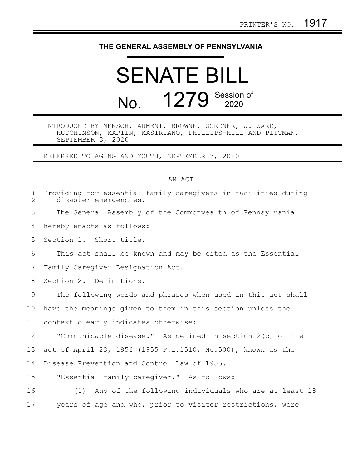## **THE GENERAL ASSEMBLY OF PENNSYLVANIA**

## SENATE BILL No. 1279 Session of

## INTRODUCED BY MENSCH, AUMENT, BROWNE, GORDNER, J. WARD, HUTCHINSON, MARTIN, MASTRIANO, PHILLIPS-HILL AND PITTMAN, SEPTEMBER 3, 2020

REFERRED TO AGING AND YOUTH, SEPTEMBER 3, 2020

## AN ACT

| $\mathbf 1$<br>$\overline{2}$ | Providing for essential family caregivers in facilities during<br>disaster emergencies. |
|-------------------------------|-----------------------------------------------------------------------------------------|
| 3                             | The General Assembly of the Commonwealth of Pennsylvania                                |
| 4                             | hereby enacts as follows:                                                               |
| 5                             | Section 1. Short title.                                                                 |
| 6                             | This act shall be known and may be cited as the Essential                               |
| 7                             | Family Caregiver Designation Act.                                                       |
| 8                             | Section 2. Definitions.                                                                 |
| 9                             | The following words and phrases when used in this act shall                             |
| 10                            | have the meanings given to them in this section unless the                              |
| 11                            | context clearly indicates otherwise:                                                    |
| 12                            | "Communicable disease." As defined in section 2(c) of the                               |
| 13                            | act of April 23, 1956 (1955 P.L.1510, No.500), known as the                             |
| 14                            | Disease Prevention and Control Law of 1955.                                             |
| 15                            | "Essential family caregiver." As follows:                                               |
| 16                            | Any of the following individuals who are at least 18<br>(1)                             |
| 17                            | years of age and who, prior to visitor restrictions, were                               |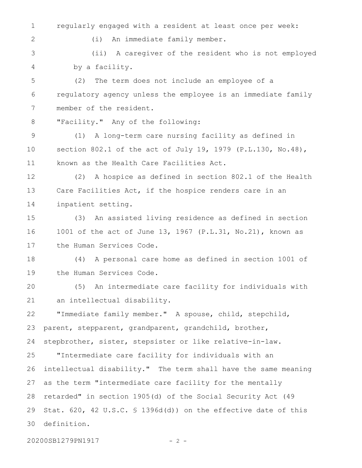regularly engaged with a resident at least once per week: 1

(i) An immediate family member.

(ii) A caregiver of the resident who is not employed by a facility. 3 4

(2) The term does not include an employee of a regulatory agency unless the employee is an immediate family member of the resident. 5 6 7

"Facility." Any of the following: 8

2

(1) A long-term care nursing facility as defined in section 802.1 of the act of July 19, 1979 (P.L.130, No.48), known as the Health Care Facilities Act. 9 10 11

(2) A hospice as defined in section 802.1 of the Health Care Facilities Act, if the hospice renders care in an inpatient setting. 12 13 14

(3) An assisted living residence as defined in section 1001 of the act of June 13, 1967 (P.L.31, No.21), known as the Human Services Code. 15 16 17

(4) A personal care home as defined in section 1001 of the Human Services Code. 18 19

(5) An intermediate care facility for individuals with an intellectual disability. 20 21

"Immediate family member." A spouse, child, stepchild, parent, stepparent, grandparent, grandchild, brother, stepbrother, sister, stepsister or like relative-in-law. 22 23 24

"Intermediate care facility for individuals with an intellectual disability." The term shall have the same meaning as the term "intermediate care facility for the mentally retarded" in section 1905(d) of the Social Security Act (49 Stat. 620, 42 U.S.C. § 1396d(d)) on the effective date of this definition. 25 26 27 28 29 30

20200SB1279PN1917 - 2 -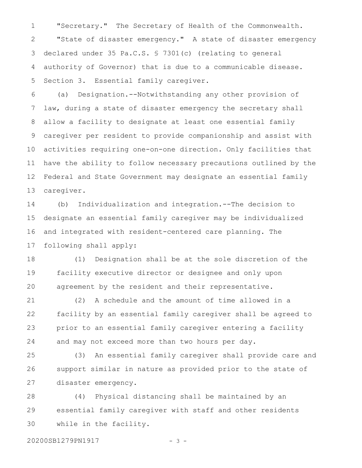"Secretary." The Secretary of Health of the Commonwealth. "State of disaster emergency." A state of disaster emergency declared under 35 Pa.C.S. § 7301(c) (relating to general authority of Governor) that is due to a communicable disease. Section 3. Essential family caregiver. 1 2 3 4 5

(a) Designation.--Notwithstanding any other provision of law, during a state of disaster emergency the secretary shall allow a facility to designate at least one essential family caregiver per resident to provide companionship and assist with activities requiring one-on-one direction. Only facilities that have the ability to follow necessary precautions outlined by the Federal and State Government may designate an essential family caregiver. 6 7 8 9 10 11 12 13

(b) Individualization and integration.--The decision to designate an essential family caregiver may be individualized and integrated with resident-centered care planning. The following shall apply: 14 15 16 17

(1) Designation shall be at the sole discretion of the facility executive director or designee and only upon agreement by the resident and their representative. 18 19 20

(2) A schedule and the amount of time allowed in a facility by an essential family caregiver shall be agreed to prior to an essential family caregiver entering a facility and may not exceed more than two hours per day. 21 22 23 24

(3) An essential family caregiver shall provide care and support similar in nature as provided prior to the state of disaster emergency. 25 26 27

(4) Physical distancing shall be maintained by an essential family caregiver with staff and other residents while in the facility. 28 29 30

20200SB1279PN1917 - 3 -